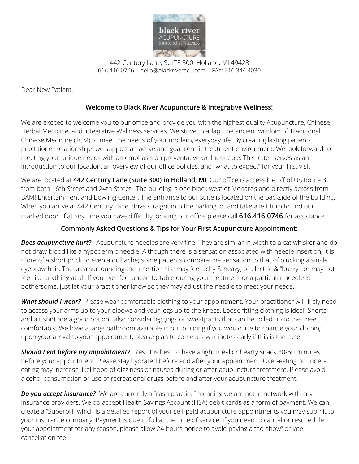

442 Century Lane, SUITE 300. Holland, MI 49423 616.416.0746 | [hello@blackriveracu.com](mailto:hello@blackriveracu.com) | FAX: 616.344.4030

Dear New Patient,

## **Welcome to Black River Acupuncture & Integrative Wellness!**

We are excited to welcome you to our office and provide you with the highest quality Acupuncture, Chinese Herbal Medicine, and Integrative Wellness services. We strive to adapt the ancient wisdom of Traditional Chinese Medicine (TCM) to meet the needs of your modern, everyday life. By creating lasting patientpractitioner relationships we support an active and goal-centric treatment environment. We look forward to meeting your unique needs with an emphasis on preventative wellness care. This letter serves as an introduction to our location, an overview of our office policies, and "what to expect" for your first visit.

We are located at **442 Century Lane (Suite 300) in Holland, MI**. Our office is accessible off of US Route 31 from both 16th Street and 24th Street. The building is one block west of Menards and directly across from BAM! Entertainment and Bowling Center. The entrance to our suite is located on the backside of the building. When you arrive at 442 Century Lane, drive straight into the parking lot and take a left turn to find our marked door. If at any time you have difficulty locating our office please call **616.416.0746** for assistance.

## **Commonly Asked Questions & Tips for Your First Acupuncture Appointment:**

**Does acupuncture hurt?** Acupuncture needles are very fine. They are similar in width to a cat whisker and do not draw blood like a hypodermic needle. Although there is a sensation associated with needle insertion, it is more of a short prick or even a dull ache; some patients compare the sensation to that of plucking a single eyebrow hair. The area surrounding the insertion site may feel achy & heavy, or electric & "buzzy", or may not feel like anything at all! If you ever feel uncomfortable during your treatment or a particular needle is bothersome, just let your practitioner know so they may adjust the needle to meet your needs.

*What should I wear?* Please wear comfortable clothing to your appointment. Your practitioner will likely need to access your arms up to your elbows and your legs up to the knees. Loose fitting clothing is ideal. Shorts and a t-shirt are a good option; also consider leggings or sweatpants that can be rolled up to the knee comfortably. We have a large bathroom available in our building if you would like to change your clothing upon your arrival to your appointment; please plan to come a few minutes early if this is the case.

**Should I eat before my appointment?** Yes. It is best to have a light meal or hearty snack 30-60 minutes before your appointment. Please stay hydrated before and after your appointment. Over-eating or undereating may increase likelihood of dizziness or nausea during or after acupuncture treatment. Please avoid alcohol consumption or use of recreational drugs before and after your acupuncture treatment.

*Do you accept insurance?* We are currently a "cash practice" meaning we are not in network with any insurance providers. We do accept Health Savings Account (HSA) debit cards as a form of payment. We can create a "Superbill" which is a detailed report of your self-paid acupuncture appointments you may submit to your insurance company. Payment is due in full at the time of service. If you need to cancel or reschedule your appointment for any reason, please allow 24 hours notice to avoid paying a "no-show" or late cancellation fee.